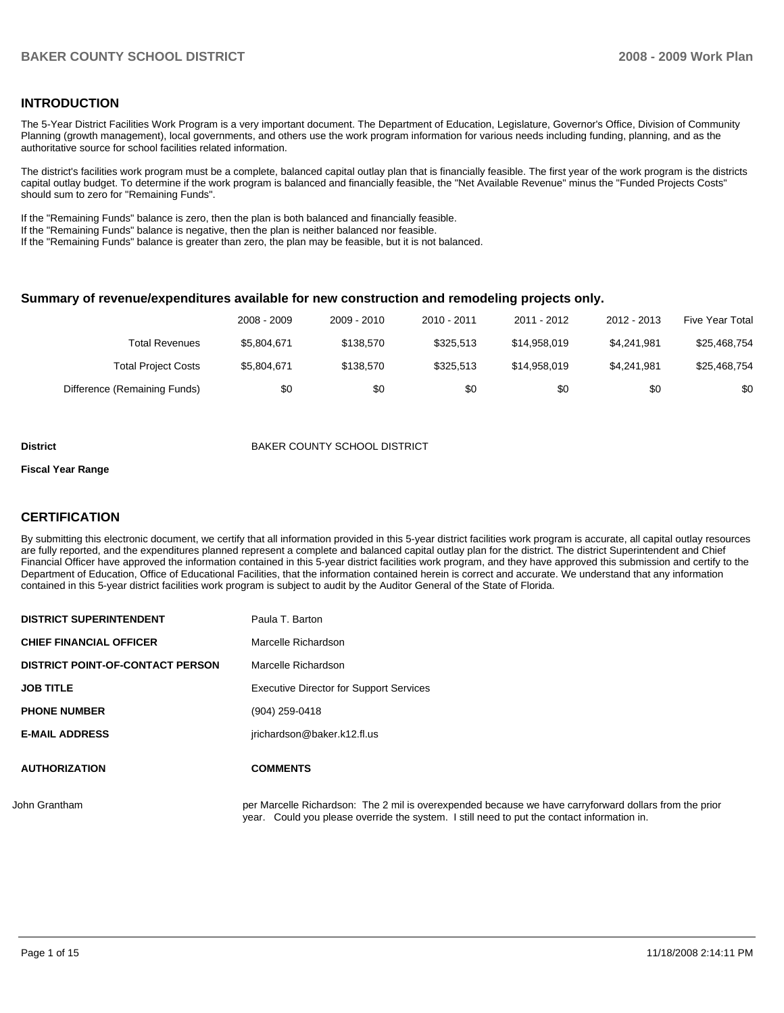## **INTRODUCTION**

The 5-Year District Facilities Work Program is a very important document. The Department of Education, Legislature, Governor's Office, Division of Community Planning (growth management), local governments, and others use the work program information for various needs including funding, planning, and as the authoritative source for school facilities related information.

The district's facilities work program must be a complete, balanced capital outlay plan that is financially feasible. The first year of the work program is the districts capital outlay budget. To determine if the work program is balanced and financially feasible, the "Net Available Revenue" minus the "Funded Projects Costs" should sum to zero for "Remaining Funds".

If the "Remaining Funds" balance is zero, then the plan is both balanced and financially feasible.

If the "Remaining Funds" balance is negative, then the plan is neither balanced nor feasible.

If the "Remaining Funds" balance is greater than zero, the plan may be feasible, but it is not balanced.

#### **Summary of revenue/expenditures available for new construction and remodeling projects only.**

|                              | 2008 - 2009 | 2009 - 2010 | 2010 - 2011 | 2011 - 2012  | 2012 - 2013 | <b>Five Year Total</b> |
|------------------------------|-------------|-------------|-------------|--------------|-------------|------------------------|
| Total Revenues               | \$5.804.671 | \$138.570   | \$325.513   | \$14,958,019 | \$4.241.981 | \$25,468,754           |
| <b>Total Project Costs</b>   | \$5.804.671 | \$138.570   | \$325.513   | \$14,958,019 | \$4.241.981 | \$25,468,754           |
| Difference (Remaining Funds) | \$0         | \$0         | \$0         | \$0          | \$0         | \$0                    |

#### **District COUNTY SCHOOL DISTRICT**

#### **Fiscal Year Range**

## **CERTIFICATION**

By submitting this electronic document, we certify that all information provided in this 5-year district facilities work program is accurate, all capital outlay resources are fully reported, and the expenditures planned represent a complete and balanced capital outlay plan for the district. The district Superintendent and Chief Financial Officer have approved the information contained in this 5-year district facilities work program, and they have approved this submission and certify to the Department of Education, Office of Educational Facilities, that the information contained herein is correct and accurate. We understand that any information contained in this 5-year district facilities work program is subject to audit by the Auditor General of the State of Florida.

| <b>DISTRICT SUPERINTENDENT</b>          | Paula T. Barton                                          |
|-----------------------------------------|----------------------------------------------------------|
| <b>CHIEF FINANCIAL OFFICER</b>          | Marcelle Richardson                                      |
| <b>DISTRICT POINT-OF-CONTACT PERSON</b> | Marcelle Richardson                                      |
| <b>JOB TITLE</b>                        | <b>Executive Director for Support Services</b>           |
| <b>PHONE NUMBER</b>                     | (904) 259-0418                                           |
| <b>E-MAIL ADDRESS</b>                   | jrichardson@baker.k12.fl.us                              |
| <b>AUTHORIZATION</b>                    | <b>COMMENTS</b>                                          |
| John Grantham                           | per Marcelle Richardson: The 2 mil is overexpended becau |

Ise we have carryforward dollars from the prior year. Could you please override the system. I still need to put the contact information in.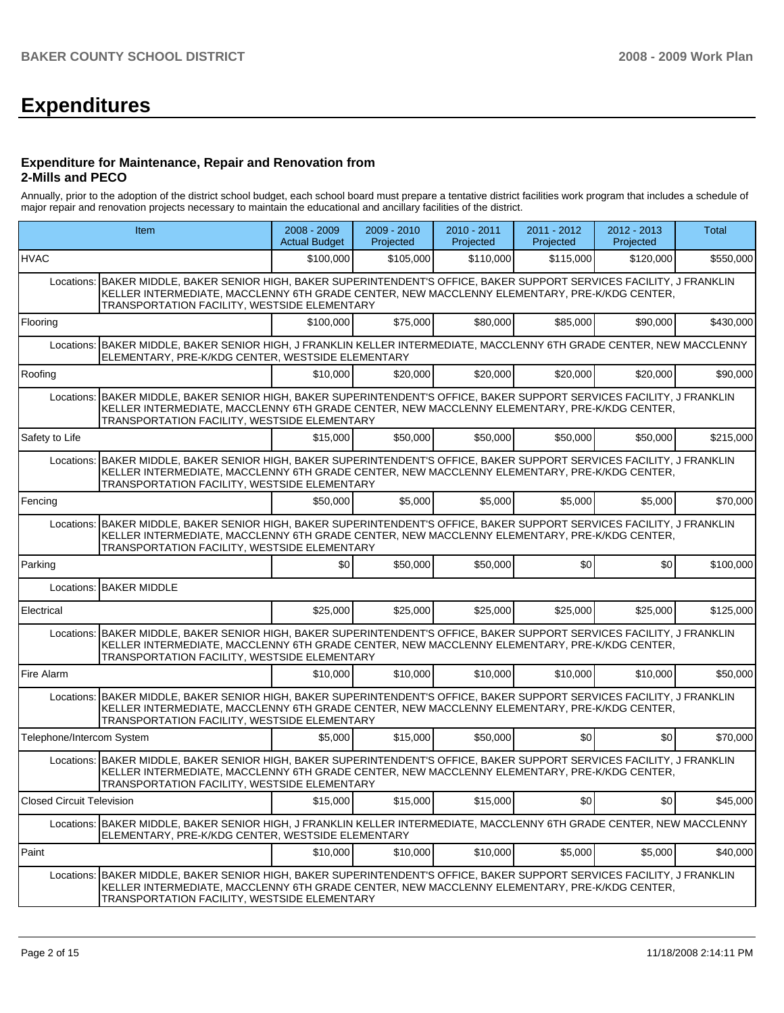# **Expenditures**

#### **Expenditure for Maintenance, Repair and Renovation from 2-Mills and PECO**

Annually, prior to the adoption of the district school budget, each school board must prepare a tentative district facilities work program that includes a schedule of major repair and renovation projects necessary to maintain the educational and ancillary facilities of the district.

|                                  | Item                                                                                                                                                                                                                                                                   | 2008 - 2009<br><b>Actual Budget</b> | $2009 - 2010$<br>Projected | 2010 - 2011<br>Projected | 2011 - 2012<br>Projected | 2012 - 2013<br>Projected | Total     |
|----------------------------------|------------------------------------------------------------------------------------------------------------------------------------------------------------------------------------------------------------------------------------------------------------------------|-------------------------------------|----------------------------|--------------------------|--------------------------|--------------------------|-----------|
| <b>HVAC</b>                      |                                                                                                                                                                                                                                                                        | \$100,000                           | \$105,000                  | \$110,000                | \$115,000                | \$120,000                | \$550,000 |
|                                  | Locations: BAKER MIDDLE, BAKER SENIOR HIGH, BAKER SUPERINTENDENT'S OFFICE, BAKER SUPPORT SERVICES FACILITY, J FRANKLIN<br>KELLER INTERMEDIATE, MACCLENNY 6TH GRADE CENTER, NEW MACCLENNY ELEMENTARY, PRE-K/KDG CENTER,<br>TRANSPORTATION FACILITY, WESTSIDE ELEMENTARY |                                     |                            |                          |                          |                          |           |
| Flooring                         |                                                                                                                                                                                                                                                                        | \$100,000                           | \$75,000                   | \$80,000                 | \$85,000                 | \$90,000                 | \$430,000 |
| Locations:                       | BAKER MIDDLE, BAKER SENIOR HIGH, J FRANKLIN KELLER INTERMEDIATE, MACCLENNY 6TH GRADE CENTER, NEW MACCLENNY<br>ELEMENTARY, PRE-K/KDG CENTER, WESTSIDE ELEMENTARY                                                                                                        |                                     |                            |                          |                          |                          |           |
| Roofing                          |                                                                                                                                                                                                                                                                        | \$10,000                            | \$20,000                   | \$20,000                 | \$20,000                 | \$20,000                 | \$90,000  |
|                                  | Locations: BAKER MIDDLE, BAKER SENIOR HIGH, BAKER SUPERINTENDENT'S OFFICE, BAKER SUPPORT SERVICES FACILITY, J FRANKLIN<br>KELLER INTERMEDIATE, MACCLENNY 6TH GRADE CENTER, NEW MACCLENNY ELEMENTARY, PRE-K/KDG CENTER,<br>TRANSPORTATION FACILITY, WESTSIDE ELEMENTARY |                                     |                            |                          |                          |                          |           |
| Safety to Life                   |                                                                                                                                                                                                                                                                        | \$15,000                            | \$50,000                   | \$50,000                 | \$50,000                 | \$50,000                 | \$215,000 |
|                                  | Locations: BAKER MIDDLE, BAKER SENIOR HIGH, BAKER SUPERINTENDENT'S OFFICE, BAKER SUPPORT SERVICES FACILITY, J FRANKLIN<br>KELLER INTERMEDIATE, MACCLENNY 6TH GRADE CENTER, NEW MACCLENNY ELEMENTARY, PRE-K/KDG CENTER,<br>TRANSPORTATION FACILITY, WESTSIDE ELEMENTARY |                                     |                            |                          |                          |                          |           |
| Fencing                          |                                                                                                                                                                                                                                                                        | \$50,000                            | \$5,000                    | \$5,000                  | \$5,000                  | \$5,000                  | \$70,000  |
| Locations:                       | BAKER MIDDLE, BAKER SENIOR HIGH, BAKER SUPERINTENDENT'S OFFICE, BAKER SUPPORT SERVICES FACILITY, J FRANKLIN<br>KELLER INTERMEDIATE, MACCLENNY 6TH GRADE CENTER, NEW MACCLENNY ELEMENTARY, PRE-K/KDG CENTER,<br>TRANSPORTATION FACILITY, WESTSIDE ELEMENTARY            |                                     |                            |                          |                          |                          |           |
| Parking                          |                                                                                                                                                                                                                                                                        | \$0                                 | \$50,000                   | \$50,000                 | \$0                      | \$0                      | \$100,000 |
|                                  | Locations: BAKER MIDDLE                                                                                                                                                                                                                                                |                                     |                            |                          |                          |                          |           |
| Electrical                       |                                                                                                                                                                                                                                                                        | \$25,000                            | \$25,000                   | \$25,000                 | \$25,000                 | \$25,000                 | \$125,000 |
|                                  | Locations: BAKER MIDDLE, BAKER SENIOR HIGH, BAKER SUPERINTENDENT'S OFFICE, BAKER SUPPORT SERVICES FACILITY, J FRANKLIN<br>KELLER INTERMEDIATE, MACCLENNY 6TH GRADE CENTER, NEW MACCLENNY ELEMENTARY, PRE-K/KDG CENTER,<br>TRANSPORTATION FACILITY, WESTSIDE ELEMENTARY |                                     |                            |                          |                          |                          |           |
| Fire Alarm                       |                                                                                                                                                                                                                                                                        | \$10,000                            | \$10,000                   | \$10,000                 | \$10,000                 | \$10,000                 | \$50,000  |
|                                  | Locations: BAKER MIDDLE, BAKER SENIOR HIGH, BAKER SUPERINTENDENT'S OFFICE, BAKER SUPPORT SERVICES FACILITY, J FRANKLIN<br>KELLER INTERMEDIATE, MACCLENNY 6TH GRADE CENTER, NEW MACCLENNY ELEMENTARY, PRE-K/KDG CENTER,<br>TRANSPORTATION FACILITY, WESTSIDE ELEMENTARY |                                     |                            |                          |                          |                          |           |
| Telephone/Intercom System        |                                                                                                                                                                                                                                                                        | \$5,000                             | \$15,000                   | \$50,000                 | \$0                      | \$0                      | \$70,000  |
|                                  | Locations: BAKER MIDDLE, BAKER SENIOR HIGH, BAKER SUPERINTENDENT'S OFFICE, BAKER SUPPORT SERVICES FACILITY, J FRANKLIN<br>KELLER INTERMEDIATE, MACCLENNY 6TH GRADE CENTER, NEW MACCLENNY ELEMENTARY, PRE-K/KDG CENTER,<br>TRANSPORTATION FACILITY, WESTSIDE ELEMENTARY |                                     |                            |                          |                          |                          |           |
| <b>Closed Circuit Television</b> |                                                                                                                                                                                                                                                                        | \$15,000                            | \$15,000                   | \$15,000                 | \$0                      | \$0                      | \$45,000  |
|                                  | Locations: BAKER MIDDLE, BAKER SENIOR HIGH, J FRANKLIN KELLER INTERMEDIATE, MACCLENNY 6TH GRADE CENTER, NEW MACCLENNY<br>ELEMENTARY, PRE-K/KDG CENTER, WESTSIDE ELEMENTARY                                                                                             |                                     |                            |                          |                          |                          |           |
| Paint                            |                                                                                                                                                                                                                                                                        | \$10,000                            | \$10,000                   | \$10,000                 | \$5,000                  | \$5,000                  | \$40,000  |
| Locations:                       | BAKER MIDDLE, BAKER SENIOR HIGH, BAKER SUPERINTENDENT'S OFFICE, BAKER SUPPORT SERVICES FACILITY, J FRANKLIN<br>KELLER INTERMEDIATE, MACCLENNY 6TH GRADE CENTER, NEW MACCLENNY ELEMENTARY, PRE-K/KDG CENTER,<br>TRANSPORTATION FACILITY, WESTSIDE ELEMENTARY            |                                     |                            |                          |                          |                          |           |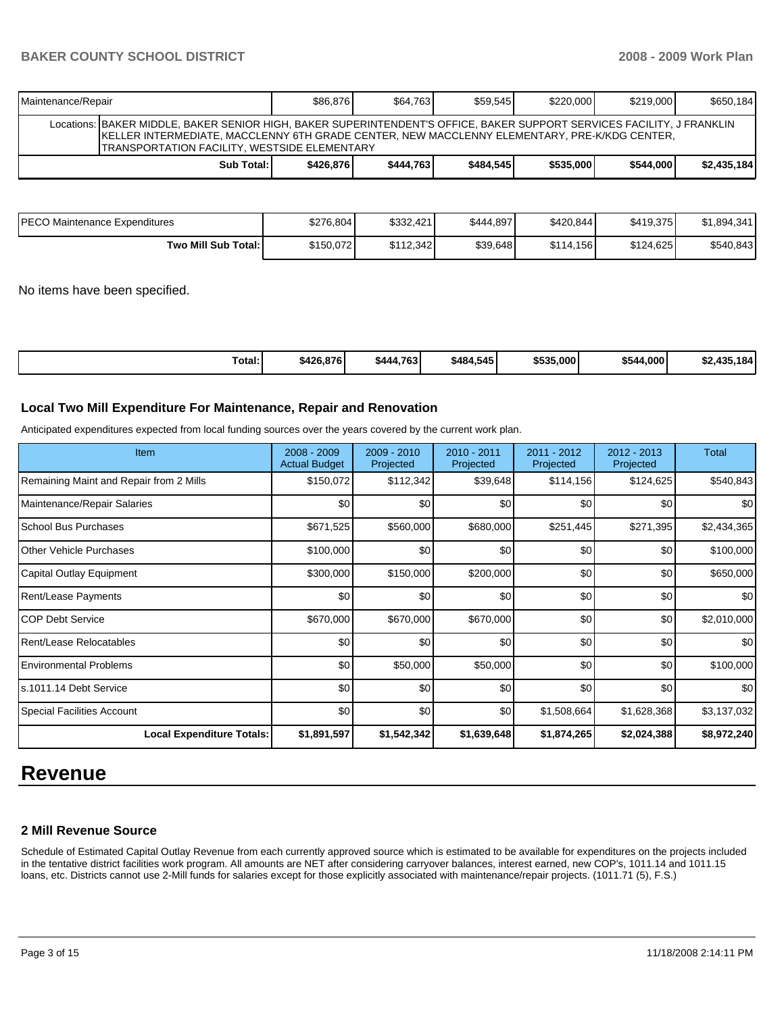# **BAKER COUNTY SCHOOL DISTRICT 2008 - 2009 Work Plan**

| Maintenance/Repair                                                                                                                                                                                                                                                              | \$86,876  | \$64.763  | \$59.545  | \$220,000 | \$219,000 | \$650,184   |
|---------------------------------------------------------------------------------------------------------------------------------------------------------------------------------------------------------------------------------------------------------------------------------|-----------|-----------|-----------|-----------|-----------|-------------|
| Locations:  BAKER MIDDLE, BAKER SENIOR HIGH, BAKER SUPERINTENDENT'S OFFICE, BAKER SUPPORT SERVICES FACILITY, J FRANKLIN<br><b>IKELLER INTERMEDIATE, MACCLENNY 6TH GRADE CENTER, NEW MACCLENNY ELEMENTARY, PRE-K/KDG CENTER,</b><br>TRANSPORTATION FACILITY, WESTSIDE ELEMENTARY |           |           |           |           |           |             |
| Sub Total: I                                                                                                                                                                                                                                                                    | \$426.876 | \$444.763 | \$484.545 | \$535,000 | \$544.000 | \$2,435,184 |

| <b>PECO Maintenance Expenditures</b> | \$276,804 | \$332,421 | \$444,897 | \$420,844 | \$419,375 | \$1,894,341 |
|--------------------------------------|-----------|-----------|-----------|-----------|-----------|-------------|
| Two Mill Sub Total:                  | \$150.072 | \$112.342 | \$39,648  | \$114.156 | \$124.625 | \$540,843   |

No items have been specified.

| Total:<br>\$484,545<br>\$535,000<br>\$544,000<br>\$426,876<br>ا 4.763.<br>49 E<br>\$444<br>ሖ<br>$\overline{\phantom{a}}$<br>DZ.433. |
|-------------------------------------------------------------------------------------------------------------------------------------|
|-------------------------------------------------------------------------------------------------------------------------------------|

## **Local Two Mill Expenditure For Maintenance, Repair and Renovation**

Anticipated expenditures expected from local funding sources over the years covered by the current work plan.

| <b>Item</b>                             | $2008 - 2009$<br><b>Actual Budget</b> | 2009 - 2010<br>Projected | $2010 - 2011$<br>Projected | 2011 - 2012<br>Projected | 2012 - 2013<br>Projected | <b>Total</b> |
|-----------------------------------------|---------------------------------------|--------------------------|----------------------------|--------------------------|--------------------------|--------------|
| Remaining Maint and Repair from 2 Mills | \$150,072                             | \$112,342                | \$39,648                   | \$114,156                | \$124,625                | \$540,843    |
| Maintenance/Repair Salaries             | \$0                                   | \$0                      | \$0                        | \$0                      | \$0                      | \$0          |
| School Bus Purchases                    | \$671,525                             | \$560,000                | \$680,000                  | \$251,445                | \$271,395                | \$2,434,365  |
| Other Vehicle Purchases                 | \$100,000                             | \$0                      | \$0                        | \$0                      | \$0                      | \$100,000    |
| Capital Outlay Equipment                | \$300,000                             | \$150,000                | \$200,000                  | \$0                      | \$0                      | \$650,000    |
| <b>Rent/Lease Payments</b>              | \$0                                   | \$0                      | \$0                        | \$0                      | \$0                      | \$0          |
| ICOP Debt Service                       | \$670,000                             | \$670,000                | \$670,000                  | \$0                      | \$0                      | \$2,010,000  |
| Rent/Lease Relocatables                 | \$0                                   | \$0                      | \$0                        | \$0                      | \$0                      | \$0          |
| <b>Environmental Problems</b>           | \$0                                   | \$50,000                 | \$50,000                   | \$0                      | \$0                      | \$100,000    |
| Is.1011.14 Debt Service                 | \$0                                   | \$0                      | \$0                        | \$0                      | \$0                      | \$0          |
| <b>Special Facilities Account</b>       | \$0                                   | \$0                      | \$0                        | \$1,508,664              | \$1,628,368              | \$3,137,032  |
| <b>Local Expenditure Totals:</b>        | \$1,891,597                           | \$1,542,342              | \$1,639,648                | \$1,874,265              | \$2,024,388              | \$8,972,240  |

# **Revenue**

## **2 Mill Revenue Source**

Schedule of Estimated Capital Outlay Revenue from each currently approved source which is estimated to be available for expenditures on the projects included in the tentative district facilities work program. All amounts are NET after considering carryover balances, interest earned, new COP's, 1011.14 and 1011.15 loans, etc. Districts cannot use 2-Mill funds for salaries except for those explicitly associated with maintenance/repair projects. (1011.71 (5), F.S.)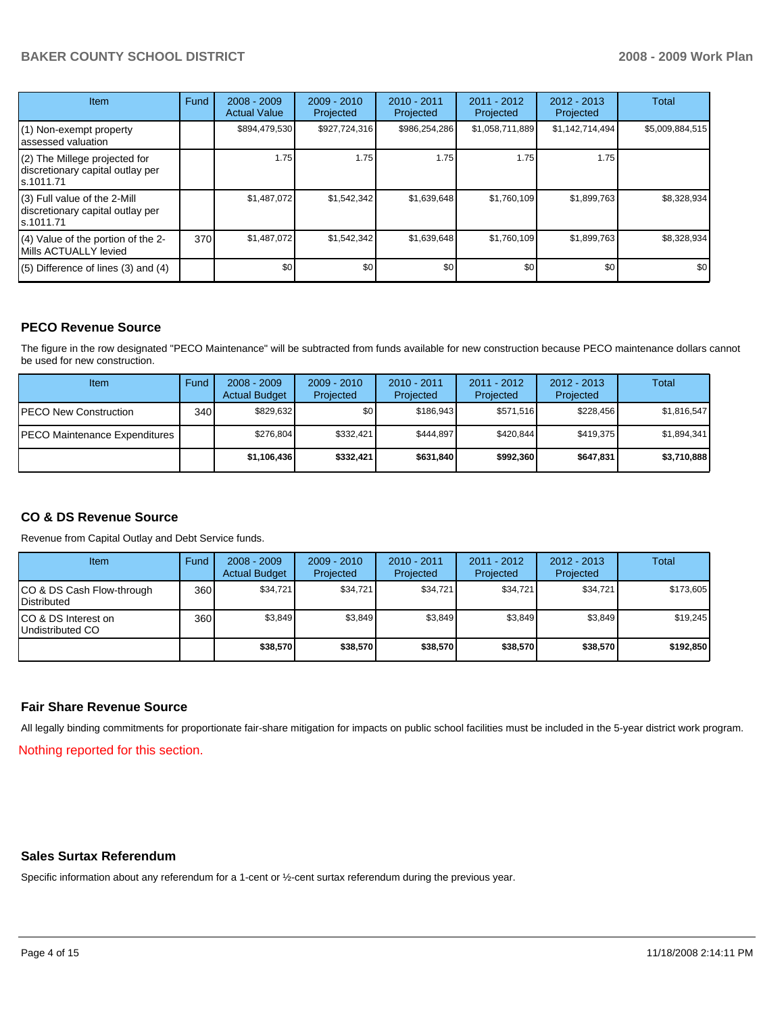# **BAKER COUNTY SCHOOL DISTRICT 2008 - 2009 Work Plan**

| <b>Item</b>                                                                    | Fund | $2008 - 2009$<br><b>Actual Value</b> | $2009 - 2010$<br>Projected | $2010 - 2011$<br>Projected | 2011 - 2012<br>Projected | $2012 - 2013$<br>Projected | Total           |
|--------------------------------------------------------------------------------|------|--------------------------------------|----------------------------|----------------------------|--------------------------|----------------------------|-----------------|
| (1) Non-exempt property<br>assessed valuation                                  |      | \$894,479,530                        | \$927,724,316              | \$986,254,286              | \$1,058,711,889          | \$1,142,714,494            | \$5,009,884,515 |
| (2) The Millege projected for<br>discretionary capital outlay per<br>s.1011.71 |      | 1.75                                 | 1.75                       | 1.75                       | 1.75                     | 1.75                       |                 |
| (3) Full value of the 2-Mill<br>discretionary capital outlay per<br>s.1011.71  |      | \$1,487,072                          | \$1,542,342                | \$1,639,648                | \$1,760,109              | \$1,899,763                | \$8,328,934     |
| (4) Value of the portion of the 2-<br>Mills ACTUALLY levied                    | 370  | \$1,487,072                          | \$1,542,342                | \$1,639,648                | \$1,760,109              | \$1,899,763                | \$8,328,934     |
| $(5)$ Difference of lines $(3)$ and $(4)$                                      |      | \$0                                  | \$0                        | \$0                        | \$0 <sub>1</sub>         | \$0                        | \$0             |

## **PECO Revenue Source**

The figure in the row designated "PECO Maintenance" will be subtracted from funds available for new construction because PECO maintenance dollars cannot be used for new construction.

| Item                                 | Fund             | $2008 - 2009$<br><b>Actual Budget</b> | $2009 - 2010$<br>Projected | $2010 - 2011$<br>Projected | 2011 - 2012<br>Projected | $2012 - 2013$<br>Projected | Total       |
|--------------------------------------|------------------|---------------------------------------|----------------------------|----------------------------|--------------------------|----------------------------|-------------|
| <b>IPECO New Construction</b>        | 340 <sub>l</sub> | \$829.632                             | \$٥Ι                       | \$186.943                  | \$571.516                | \$228.456                  | \$1,816,547 |
| <b>PECO Maintenance Expenditures</b> |                  | \$276.804                             | \$332,421                  | \$444.897                  | \$420.844                | \$419.375                  | \$1,894,341 |
|                                      |                  | \$1,106,436                           | \$332,421                  | \$631.840                  | \$992,360                | \$647,831                  | \$3,710,888 |

## **CO & DS Revenue Source**

Revenue from Capital Outlay and Debt Service funds.

| <b>Item</b>                                       | Fund | $2008 - 2009$<br><b>Actual Budget</b> | $2009 - 2010$<br>Projected | $2010 - 2011$<br>Projected | $2011 - 2012$<br>Projected | $2012 - 2013$<br>Projected | Total     |
|---------------------------------------------------|------|---------------------------------------|----------------------------|----------------------------|----------------------------|----------------------------|-----------|
| CO & DS Cash Flow-through<br><b>I</b> Distributed | 360  | \$34.721                              | \$34.721                   | \$34.721                   | \$34.721                   | \$34.721                   | \$173.605 |
| ICO & DS Interest on<br>Undistributed CO          | 360  | \$3.849                               | \$3.849                    | \$3,849                    | \$3.849                    | \$3,849                    | \$19.245  |
|                                                   |      | \$38,570                              | \$38,570                   | \$38,570                   | \$38,570                   | \$38,570                   | \$192,850 |

## **Fair Share Revenue Source**

All legally binding commitments for proportionate fair-share mitigation for impacts on public school facilities must be included in the 5-year district work program.

Nothing reported for this section.

## **Sales Surtax Referendum**

Specific information about any referendum for a 1-cent or ½-cent surtax referendum during the previous year.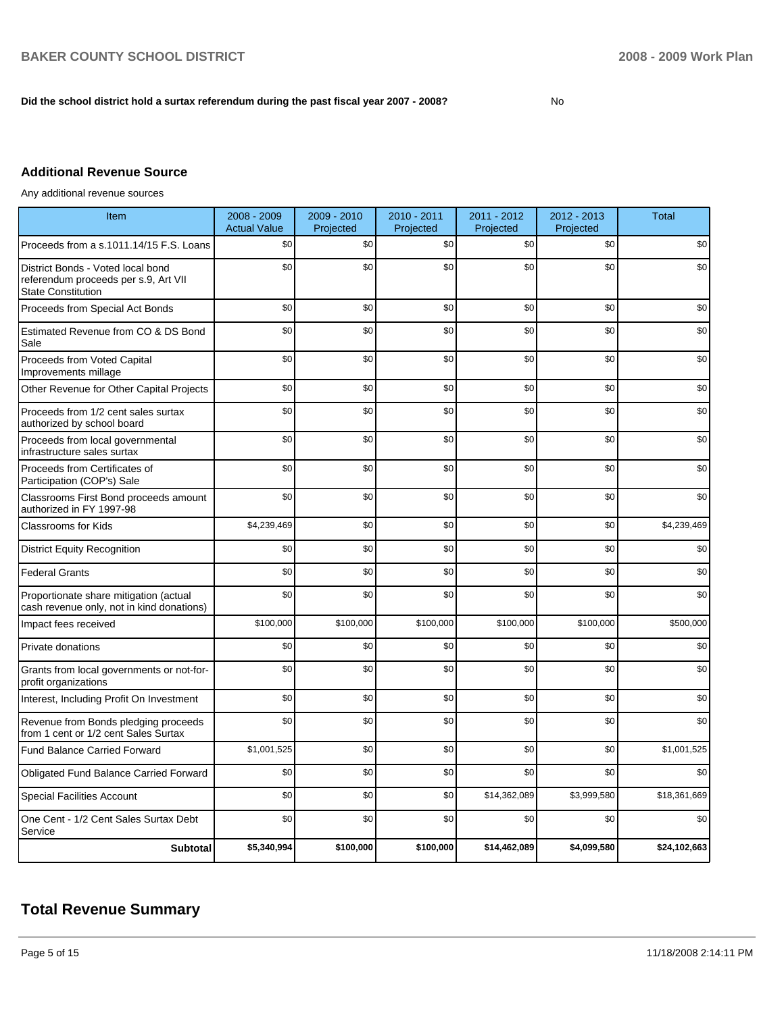## **Did the school district hold a surtax referendum during the past fiscal year 2007 - 2008?** No

# **Additional Revenue Source**

Any additional revenue sources

| Item                                                                                                   | 2008 - 2009<br><b>Actual Value</b> | 2009 - 2010<br>Projected | 2010 - 2011<br>Projected | 2011 - 2012<br>Projected | 2012 - 2013<br>Projected | <b>Total</b> |
|--------------------------------------------------------------------------------------------------------|------------------------------------|--------------------------|--------------------------|--------------------------|--------------------------|--------------|
| Proceeds from a s.1011.14/15 F.S. Loans                                                                | \$0                                | \$0                      | \$0                      | \$0                      | \$0                      | \$0          |
| District Bonds - Voted local bond<br>referendum proceeds per s.9, Art VII<br><b>State Constitution</b> | \$0                                | \$0                      | \$0                      | \$0                      | \$0                      | \$0          |
| Proceeds from Special Act Bonds                                                                        | \$0                                | \$0                      | \$0                      | \$0                      | \$0                      | \$0          |
| Estimated Revenue from CO & DS Bond<br>Sale                                                            | \$0                                | \$0                      | \$0                      | \$0                      | \$0                      | \$0          |
| Proceeds from Voted Capital<br>Improvements millage                                                    | \$0                                | \$0                      | \$0                      | \$0                      | \$0                      | \$0          |
| Other Revenue for Other Capital Projects                                                               | \$0                                | \$0                      | \$0                      | \$0                      | \$0                      | \$0          |
| Proceeds from 1/2 cent sales surtax<br>authorized by school board                                      | \$0                                | \$0                      | \$0                      | \$0                      | \$0                      | \$0          |
| Proceeds from local governmental<br>infrastructure sales surtax                                        | \$0                                | \$0                      | \$0                      | \$0                      | \$0                      | \$0          |
| Proceeds from Certificates of<br>Participation (COP's) Sale                                            | \$0                                | \$0                      | \$0                      | \$0                      | \$0                      | \$0          |
| Classrooms First Bond proceeds amount<br>authorized in FY 1997-98                                      | \$0                                | \$0                      | \$0                      | \$0                      | \$0                      | \$0          |
| <b>Classrooms for Kids</b>                                                                             | \$4,239,469                        | \$0                      | \$0                      | \$0                      | \$0                      | \$4,239,469  |
| <b>District Equity Recognition</b>                                                                     | \$0                                | \$0                      | \$0                      | \$0                      | \$0                      | \$0          |
| <b>Federal Grants</b>                                                                                  | \$0                                | \$0                      | \$0                      | \$0                      | \$0                      | \$0          |
| Proportionate share mitigation (actual<br>cash revenue only, not in kind donations)                    | \$0                                | \$0                      | \$0                      | \$0                      | \$0                      | \$0          |
| Impact fees received                                                                                   | \$100,000                          | \$100,000                | \$100,000                | \$100,000                | \$100,000                | \$500,000    |
| Private donations                                                                                      | \$0                                | \$0                      | \$0                      | \$0                      | \$0                      | \$0          |
| Grants from local governments or not-for-<br>profit organizations                                      | \$0                                | \$0                      | \$0                      | \$0                      | \$0                      | \$0          |
| Interest, Including Profit On Investment                                                               | \$0                                | \$0                      | \$0                      | \$0                      | \$0                      | \$0          |
| Revenue from Bonds pledging proceeds<br>from 1 cent or 1/2 cent Sales Surtax                           | \$0                                | \$0                      | \$0                      | \$0                      | \$0                      | \$0          |
| Fund Balance Carried Forward                                                                           | \$1,001,525                        | \$0                      | \$0                      | \$0                      | \$0                      | \$1,001,525  |
| Obligated Fund Balance Carried Forward                                                                 | \$0                                | \$0                      | \$0                      | \$0                      | \$0                      | \$0          |
| <b>Special Facilities Account</b>                                                                      | \$0                                | \$0                      | \$0                      | \$14,362,089             | \$3,999,580              | \$18,361,669 |
| One Cent - 1/2 Cent Sales Surtax Debt<br>Service                                                       | \$0                                | \$0                      | \$0                      | \$0                      | \$0                      | \$0          |
| <b>Subtotal</b>                                                                                        | \$5,340,994                        | \$100,000                | \$100,000                | \$14,462,089             | \$4,099,580              | \$24,102,663 |

# **Total Revenue Summary**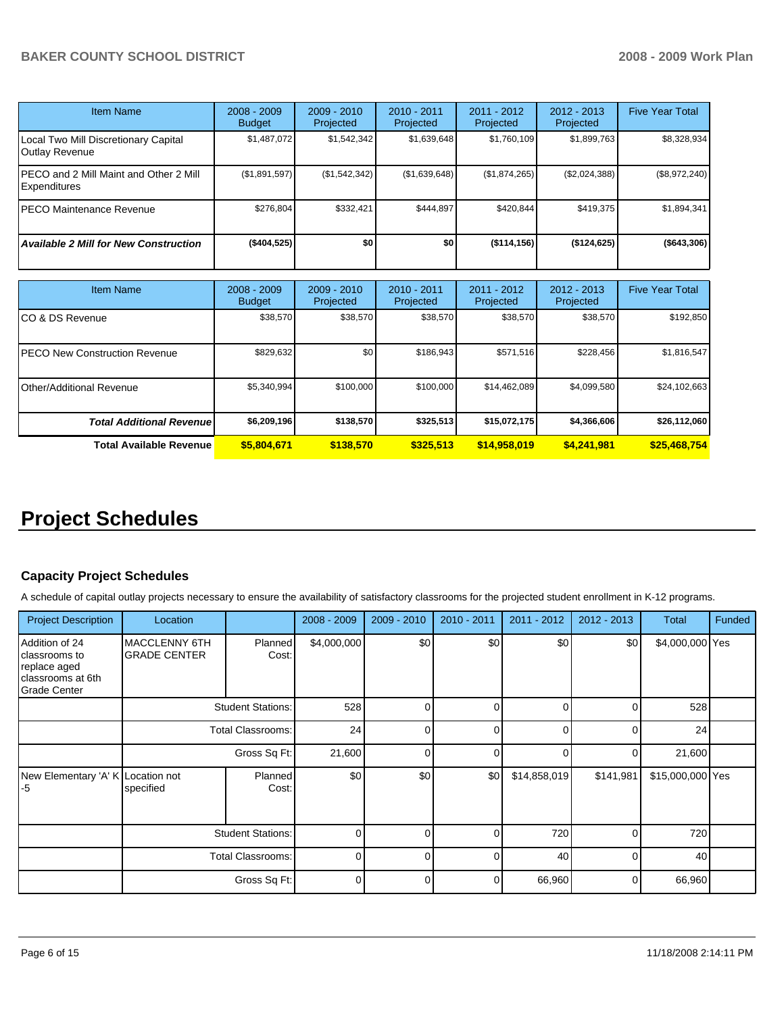| <b>Item Name</b>                                              | $2008 - 2009$<br><b>Budget</b> | $2009 - 2010$<br>Projected | $2010 - 2011$<br>Projected | $2011 - 2012$<br>Projected | $2012 - 2013$<br>Projected | <b>Five Year Total</b> |
|---------------------------------------------------------------|--------------------------------|----------------------------|----------------------------|----------------------------|----------------------------|------------------------|
| Local Two Mill Discretionary Capital<br>Outlay Revenue        | \$1,487,072                    | \$1,542,342                | \$1,639,648                | \$1,760,109                | \$1,899,763                | \$8,328,934            |
| PECO and 2 Mill Maint and Other 2 Mill<br><b>Expenditures</b> | (\$1,891,597)                  | (\$1,542,342)              | (\$1,639,648)              | (\$1,874,265)              | (\$2,024,388)              | (\$8,972,240)          |
| PECO Maintenance Revenue                                      | \$276.804                      | \$332,421                  | \$444.897                  | \$420.844                  | \$419,375                  | \$1,894,341            |
| <b>Available 2 Mill for New Construction</b>                  | (\$404,525)                    | \$0                        | \$0                        | (\$114,156)                | (\$124,625)                | (\$643,306)            |

| <b>Item Name</b>                 | $2008 - 2009$<br><b>Budget</b> | $2009 - 2010$<br>Projected | $2010 - 2011$<br>Projected | 2011 - 2012<br>Projected | $2012 - 2013$<br>Projected | <b>Five Year Total</b> |
|----------------------------------|--------------------------------|----------------------------|----------------------------|--------------------------|----------------------------|------------------------|
| ICO & DS Revenue                 | \$38,570                       | \$38,570                   | \$38,570                   | \$38,570                 | \$38,570                   | \$192,850              |
| IPECO New Construction Revenue   | \$829,632                      | \$0                        | \$186.943                  | \$571,516                | \$228,456                  | \$1,816,547            |
| Other/Additional Revenue         | \$5,340,994                    | \$100,000                  | \$100,000                  | \$14,462,089             | \$4,099,580                | \$24,102,663           |
| <b>Total Additional Revenuel</b> | \$6,209,196                    | \$138,570                  | \$325.513                  | \$15,072,175             | \$4,366,606                | \$26,112,060           |
| <b>Total Available Revenue</b>   | \$5,804,671                    | \$138,570                  | \$325,513                  | \$14,958,019             | \$4,241,981                | \$25,468,754           |

# **Project Schedules**

## **Capacity Project Schedules**

A schedule of capital outlay projects necessary to ensure the availability of satisfactory classrooms for the projected student enrollment in K-12 programs.

| <b>Project Description</b>                                                                  | Location                                    |                          | $2008 - 2009$ | $2009 - 2010$ | 2010 - 2011 | 2011 - 2012  | $2012 - 2013$  | <b>Total</b>     | Funded |
|---------------------------------------------------------------------------------------------|---------------------------------------------|--------------------------|---------------|---------------|-------------|--------------|----------------|------------------|--------|
| Addition of 24<br>classrooms to<br>replace aged<br>classrooms at 6th<br><b>Grade Center</b> | <b>MACCLENNY 6TH</b><br><b>GRADE CENTER</b> | Planned<br>Cost:         | \$4,000,000   | \$0           | \$0         | \$0          | \$0            | \$4,000,000 Yes  |        |
|                                                                                             |                                             | <b>Student Stations:</b> | 528           | 0             | $\Omega$    | $\Omega$     | $\Omega$       | 528              |        |
|                                                                                             | <b>Total Classrooms:</b>                    |                          | 24            | 0             | $\Omega$    | $\Omega$     | $\Omega$       | 24               |        |
|                                                                                             | Gross Sq Ft:                                |                          | 21,600        | 0             | $\Omega$    | 0            | $\overline{0}$ | 21,600           |        |
| New Elementary 'A' K Location not<br>-5                                                     | specified                                   | <b>Planned</b><br>Cost:  | \$0           | \$0           | \$0         | \$14,858,019 | \$141,981      | \$15,000,000 Yes |        |
|                                                                                             | <b>Student Stations:</b>                    |                          | $\Omega$      | $\Omega$      | $\Omega$    | 720          | $\Omega$       | 720              |        |
|                                                                                             | <b>Total Classrooms:</b>                    |                          | $\Omega$      | $\Omega$      | $\Omega$    | 40           | $\Omega$       | 40               |        |
|                                                                                             |                                             | Gross Sq Ft:             | 0             | $\Omega$      | $\Omega$    | 66,960       | $\overline{0}$ | 66,960           |        |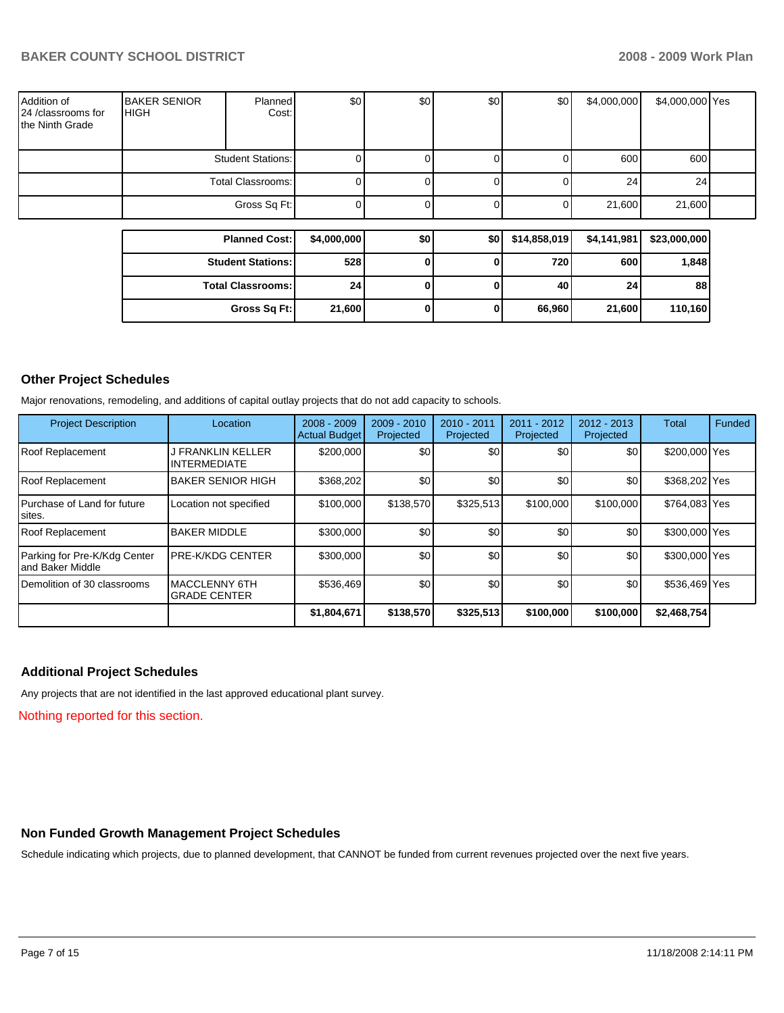| Addition of<br>24 /classrooms for<br>the Ninth Grade | <b>BAKER SENIOR</b><br><b>IHIGH</b> | Planned<br>Cost: | \$0 | \$0 | \$0 | \$0 | \$4,000,000 | \$4,000,000 Yes |  |
|------------------------------------------------------|-------------------------------------|------------------|-----|-----|-----|-----|-------------|-----------------|--|
|                                                      | <b>Student Stations:</b>            |                  |     |     |     |     | 600         | 600             |  |
|                                                      | Total Classrooms:                   |                  |     |     |     |     | 24          | 24              |  |
|                                                      | Gross Sq Ft:                        |                  |     |     |     |     | 21,600      | 21,600          |  |

| <b>Planned Cost:</b>     | \$4,000,000     | \$0 | \$0 | \$14,858,019 | \$4,141,981 | \$23,000,000 |
|--------------------------|-----------------|-----|-----|--------------|-------------|--------------|
| <b>Student Stations:</b> | 528             |     |     | 720          | 600         | 1,848        |
| <b>Total Classrooms:</b> | 24 <sub>1</sub> |     |     | 40           | 24          | 88           |
| Gross Sq Ft:             | 21,600          |     |     | 66,960       | 21,600      | 110,160      |

## **Other Project Schedules**

Major renovations, remodeling, and additions of capital outlay projects that do not add capacity to schools.

| <b>Project Description</b>                        | Location                                    | $2008 - 2009$<br><b>Actual Budget</b> | $2009 - 2010$<br>Projected | 2010 - 2011<br>Projected | 2011 - 2012<br>Projected | $2012 - 2013$<br>Projected | Total         | Funded |
|---------------------------------------------------|---------------------------------------------|---------------------------------------|----------------------------|--------------------------|--------------------------|----------------------------|---------------|--------|
| Roof Replacement                                  | I FRANKLIN KELLER<br><b>INTERMEDIATE</b>    | \$200,000                             | \$0                        | \$0                      | \$0                      | \$0                        | \$200,000 Yes |        |
| Roof Replacement                                  | <b>BAKER SENIOR HIGH</b>                    | \$368,202                             | \$0                        | \$0                      | \$0                      | \$0                        | \$368,202 Yes |        |
| Purchase of Land for future<br>siites.            | Location not specified                      | \$100,000                             | \$138,570                  | \$325,513                | \$100,000                | \$100,000                  | \$764,083 Yes |        |
| Roof Replacement                                  | <b>BAKER MIDDLE</b>                         | \$300,000                             | \$0                        | \$0                      | \$0                      | \$0                        | \$300,000 Yes |        |
| Parking for Pre-K/Kdg Center<br>land Baker Middle | <b>IPRE-K/KDG CENTER</b>                    | \$300,000                             | \$0                        | \$0                      | \$0                      | \$0                        | \$300,000 Yes |        |
| Demolition of 30 classrooms                       | <b>MACCLENNY 6TH</b><br><b>GRADE CENTER</b> | \$536,469                             | \$0                        | \$0                      | \$0                      | \$0                        | \$536,469 Yes |        |
|                                                   |                                             | \$1,804,671                           | \$138,570                  | \$325,513                | \$100,000                | \$100,000                  | \$2,468,754   |        |

## **Additional Project Schedules**

Any projects that are not identified in the last approved educational plant survey.

Nothing reported for this section.

# **Non Funded Growth Management Project Schedules**

Schedule indicating which projects, due to planned development, that CANNOT be funded from current revenues projected over the next five years.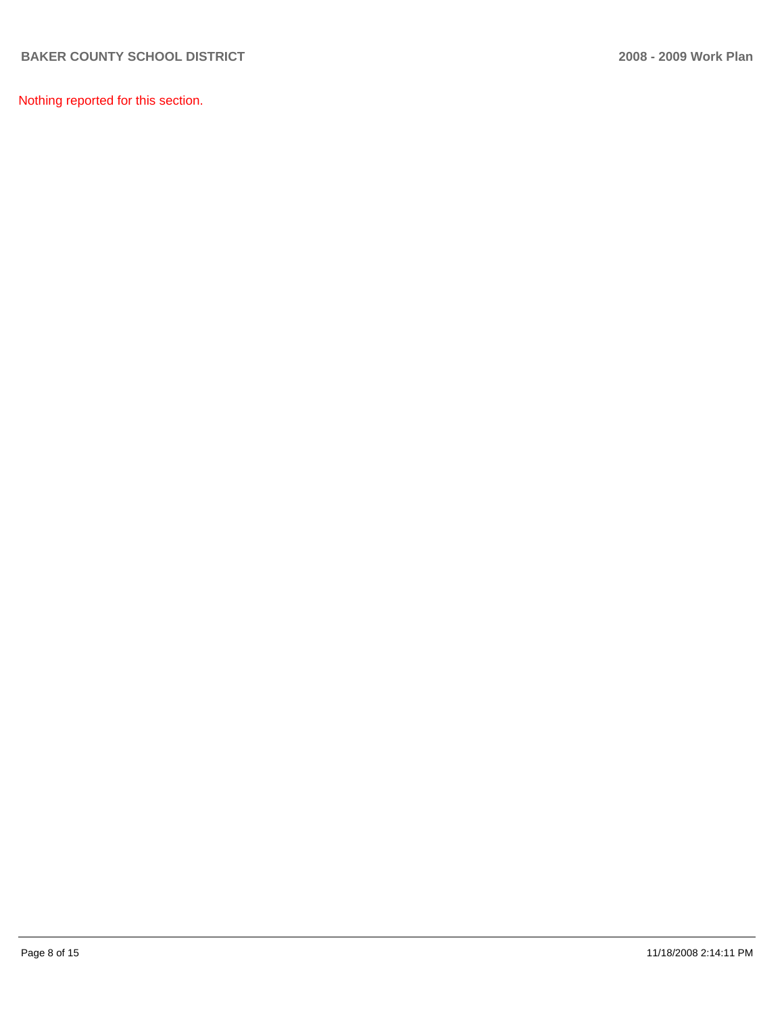Nothing reported for this section.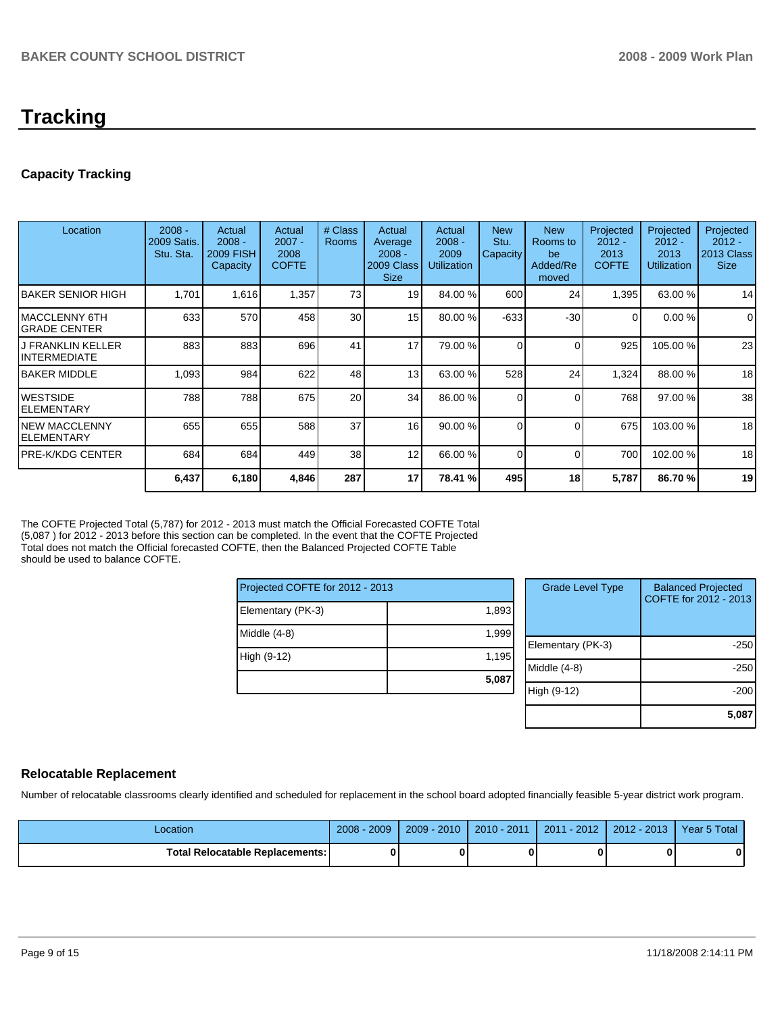# **Tracking**

# **Capacity Tracking**

| Location                                  | $2008 -$<br>2009 Satis.<br>Stu. Sta. | Actual<br>$2008 -$<br><b>2009 FISH</b><br>Capacity | Actual<br>$2007 -$<br>2008<br><b>COFTE</b> | # Class<br><b>Rooms</b> | Actual<br>Average<br>$2008 -$<br>2009 Class<br><b>Size</b> | Actual<br>$2008 -$<br>2009<br><b>Utilization</b> | <b>New</b><br>Stu.<br><b>Capacity</b> | <b>New</b><br>Rooms to<br>be<br>Added/Re<br>moved | Projected<br>$2012 -$<br>2013<br><b>COFTE</b> | Projected<br>$2012 -$<br>2013<br><b>Utilization</b> | Projected<br>$2012 -$<br>2013 Class<br><b>Size</b> |
|-------------------------------------------|--------------------------------------|----------------------------------------------------|--------------------------------------------|-------------------------|------------------------------------------------------------|--------------------------------------------------|---------------------------------------|---------------------------------------------------|-----------------------------------------------|-----------------------------------------------------|----------------------------------------------------|
| IBAKER SENIOR HIGH                        | 1,701                                | 1,616                                              | 1,357                                      | 73                      | 19                                                         | 84.00 %                                          | 600                                   | 24                                                | 1,395                                         | 63.00 %                                             | 14                                                 |
| IMACCLENNY 6TH<br>IGRADE CENTER           | 633                                  | 570                                                | 458                                        | 30                      | 15                                                         | 80.00 %                                          | $-633$                                | $-30$                                             | 0                                             | 0.00%                                               | 0                                                  |
| <b>J FRANKLIN KELLER</b><br>IINTERMEDIATE | 883                                  | 883                                                | 696                                        | 41                      | 17                                                         | 79.00 %                                          | 0                                     | $\Omega$                                          | 925                                           | 105.00 %                                            | 23                                                 |
| <b>IBAKER MIDDLE</b>                      | 1,093                                | 984                                                | 622                                        | 48                      | 13                                                         | 63.00 %                                          | 528                                   | 24                                                | 1,324                                         | 88.00 %                                             | 18                                                 |
| <b>WESTSIDE</b><br>IELEMENTARY            | 788                                  | 788                                                | 675                                        | 20                      | 34                                                         | 86.00 %                                          | 0                                     | $\Omega$                                          | 768                                           | 97.00 %                                             | 38                                                 |
| <b>NEW MACCLENNY</b><br>IELEMENTARY       | 655                                  | 655                                                | 588                                        | 37                      | 16                                                         | 90.00 %                                          | 0                                     | $\Omega$                                          | 675                                           | 103.00 %                                            | 18                                                 |
| IPRE-K/KDG CENTER                         | 684                                  | 684                                                | 449                                        | 38                      | 12                                                         | 66.00 %                                          | 0                                     | $\Omega$                                          | 700                                           | 102.00 %                                            | 18                                                 |
|                                           | 6,437                                | 6,180                                              | 4,846                                      | 287                     | 17                                                         | 78.41 %                                          | 495                                   | 18                                                | 5,787                                         | 86.70 %                                             | 19                                                 |

The COFTE Projected Total (5,787) for 2012 - 2013 must match the Official Forecasted COFTE Total (5,087 ) for 2012 - 2013 before this section can be completed. In the event that the COFTE Projected Total does not match the Official forecasted COFTE, then the Balanced Projected COFTE Table should be used to balance COFTE.

| Projected COFTE for 2012 - 2013 |       |  |  |  |  |  |
|---------------------------------|-------|--|--|--|--|--|
| Elementary (PK-3)               | 1,893 |  |  |  |  |  |
| Middle (4-8)                    | 1,999 |  |  |  |  |  |
| High (9-12)                     | 1,195 |  |  |  |  |  |
|                                 | 5,087 |  |  |  |  |  |

| <b>Grade Level Type</b> | <b>Balanced Projected</b><br>COFTE for 2012 - 2013 |
|-------------------------|----------------------------------------------------|
|                         |                                                    |
|                         |                                                    |
| Elementary (PK-3)       | $-250$                                             |
| Middle $(4-8)$          | $-250$                                             |
| High (9-12)             | $-200$                                             |
|                         | 5,08                                               |

## **Relocatable Replacement**

Number of relocatable classrooms clearly identified and scheduled for replacement in the school board adopted financially feasible 5-year district work program.

| Location                               | 2009<br>$2008 -$ | $2009 - 2010$ | $2010 - 2011$ | $2011 - 2012$ | $2012 - 2013$ | Year 5 Total |
|----------------------------------------|------------------|---------------|---------------|---------------|---------------|--------------|
| <b>Total Relocatable Replacements:</b> |                  |               |               |               |               |              |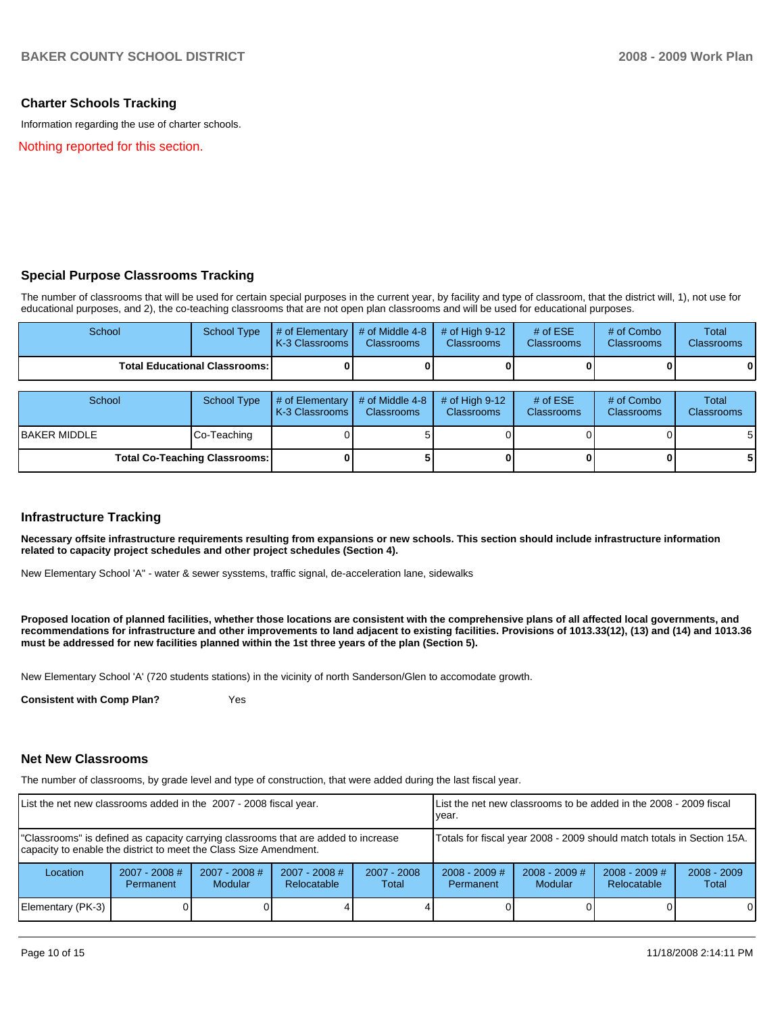## **Charter Schools Tracking**

Information regarding the use of charter schools.

Nothing reported for this section.

## **Special Purpose Classrooms Tracking**

The number of classrooms that will be used for certain special purposes in the current year, by facility and type of classroom, that the district will, 1), not use for educational purposes, and 2), the co-teaching classrooms that are not open plan classrooms and will be used for educational purposes.

| School               | <b>School Type</b>                   | # of Elementary<br>K-3 Classrooms     | # of Middle 4-8<br><b>Classrooms</b> | $#$ of High 9-12<br><b>Classrooms</b> | # of $ESE$<br>Classrooms | # of Combo<br><b>Classrooms</b> | Total<br><b>Classrooms</b>        |
|----------------------|--------------------------------------|---------------------------------------|--------------------------------------|---------------------------------------|--------------------------|---------------------------------|-----------------------------------|
|                      | <b>Total Educational Classrooms:</b> |                                       |                                      |                                       |                          |                                 | 0                                 |
|                      |                                      |                                       |                                      |                                       |                          |                                 |                                   |
| School               | <b>School Type</b>                   | # of Elementary  <br>K-3 Classrooms I | # of Middle 4-8<br><b>Classrooms</b> | # of High $9-12$<br><b>Classrooms</b> | # of $ESE$<br>Classrooms | # of Combo<br><b>Classrooms</b> | <b>Total</b><br><b>Classrooms</b> |
| <b>IBAKER MIDDLE</b> | Co-Teaching                          |                                       |                                      |                                       |                          |                                 | 51                                |
|                      | <b>Total Co-Teaching Classrooms:</b> |                                       |                                      |                                       |                          |                                 | 51                                |

## **Infrastructure Tracking**

**Necessary offsite infrastructure requirements resulting from expansions or new schools. This section should include infrastructure information related to capacity project schedules and other project schedules (Section 4).** 

New Elementary School 'A" - water & sewer sysstems, traffic signal, de-acceleration lane, sidewalks

**Proposed location of planned facilities, whether those locations are consistent with the comprehensive plans of all affected local governments, and recommendations for infrastructure and other improvements to land adjacent to existing facilities. Provisions of 1013.33(12), (13) and (14) and 1013.36 must be addressed for new facilities planned within the 1st three years of the plan (Section 5).** 

New Elementary School 'A' (720 students stations) in the vicinity of north Sanderson/Glen to accomodate growth.

**Consistent with Comp Plan?** Yes

#### **Net New Classrooms**

The number of classrooms, by grade level and type of construction, that were added during the last fiscal year.

| List the net new classrooms added in the 2007 - 2008 fiscal year.                                                                                       |                                     |                                   | List the net new classrooms to be added in the 2008 - 2009 fiscal<br>year. |                        |                                     |                        |  |          |
|---------------------------------------------------------------------------------------------------------------------------------------------------------|-------------------------------------|-----------------------------------|----------------------------------------------------------------------------|------------------------|-------------------------------------|------------------------|--|----------|
| "Classrooms" is defined as capacity carrying classrooms that are added to increase<br>capacity to enable the district to meet the Class Size Amendment. |                                     |                                   | Totals for fiscal year 2008 - 2009 should match totals in Section 15A.     |                        |                                     |                        |  |          |
| Location                                                                                                                                                | $2007 - 2008$ #<br><b>Permanent</b> | $2007 - 2008$ #<br><b>Modular</b> | $2007 - 2008$ #<br>Relocatable                                             | $2007 - 2008$<br>Total | $2008 - 2009$ #<br><b>Permanent</b> | $2008 - 2009$<br>Total |  |          |
| Elementary (PK-3)                                                                                                                                       |                                     |                                   |                                                                            |                        |                                     |                        |  | $\Omega$ |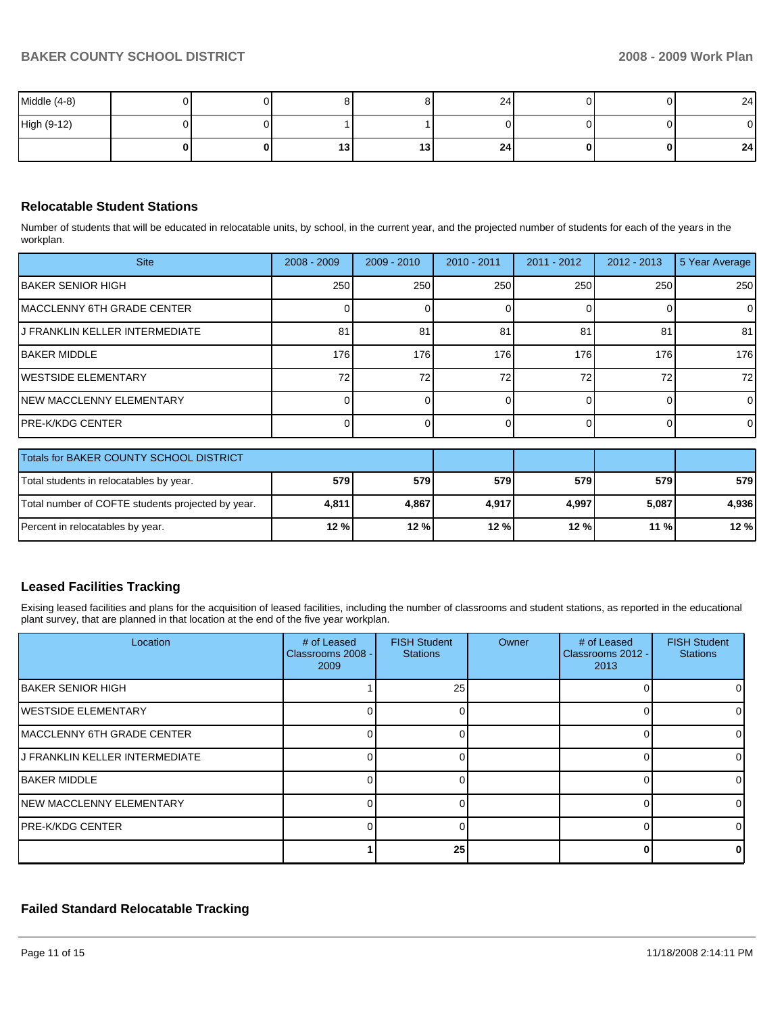| Middle $(4-8)$ |  |    |     | 24 |   |          | 24           |
|----------------|--|----|-----|----|---|----------|--------------|
| High (9-12)    |  |    |     |    |   |          | $\mathbf{0}$ |
|                |  | 13 | 13. | 24 | 0 | $\Omega$ | 24           |

## **Relocatable Student Stations**

Number of students that will be educated in relocatable units, by school, in the current year, and the projected number of students for each of the years in the workplan.

| <b>Site</b>                     | $2008 - 2009$ | $2009 - 2010$ | 2010 - 2011 | $2011 - 2012$ | $2012 - 2013$ | 5 Year Average |
|---------------------------------|---------------|---------------|-------------|---------------|---------------|----------------|
| <b>IBAKER SENIOR HIGH</b>       | 250           | 250           | 250         | 250           | 250           | 250            |
| IMACCLENNY 6TH GRADE CENTER     |               |               |             |               |               | 0              |
| IJ FRANKLIN KELLER INTERMEDIATE | 81            | 81            | 81          | 81            | 81            | 81             |
| IBAKER MIDDLE                   | 176           | 176           | 176         | 176           | 176           | 176            |
| <b>IWESTSIDE ELEMENTARY</b>     | 72.           | 72            | 72          | 72            | 72            | 72             |
| INEW MACCLENNY ELEMENTARY       |               |               |             |               |               | 0              |
| IPRE-K/KDG CENTER               |               |               |             |               |               | 0              |

| Totals for BAKER COUNTY SCHOOL DISTRICT           |       |       |       |       |       |       |
|---------------------------------------------------|-------|-------|-------|-------|-------|-------|
| Total students in relocatables by year.           | 579I  | 579   | 579   | 579 l | 579   | 579   |
| Total number of COFTE students projected by year. | 4,811 | 4.867 | 4.917 | 4.997 | 5.087 | 4.936 |
| Percent in relocatables by year.                  | 12%   | 12%   | 12%   | 12%   | 11%   | 12%   |

## **Leased Facilities Tracking**

Exising leased facilities and plans for the acquisition of leased facilities, including the number of classrooms and student stations, as reported in the educational plant survey, that are planned in that location at the end of the five year workplan.

| Location                           | # of Leased<br>Classrooms 2008 -<br>2009 | <b>FISH Student</b><br><b>Stations</b> | Owner | # of Leased<br>Classrooms 2012 -<br>2013 | <b>FISH Student</b><br><b>Stations</b> |
|------------------------------------|------------------------------------------|----------------------------------------|-------|------------------------------------------|----------------------------------------|
| <b>IBAKER SENIOR HIGH</b>          |                                          | 25                                     |       |                                          |                                        |
| <b>IWESTSIDE ELEMENTARY</b>        |                                          |                                        |       | $\Omega$                                 |                                        |
| <b>IMACCLENNY 6TH GRADE CENTER</b> |                                          | 0                                      |       | 0                                        |                                        |
| IJ FRANKLIN KELLER INTERMEDIATE    |                                          |                                        |       | 0                                        |                                        |
| <b>IBAKER MIDDLE</b>               |                                          |                                        |       |                                          |                                        |
| <b>INEW MACCLENNY ELEMENTARY</b>   |                                          |                                        |       | O                                        |                                        |
| IPRE-K/KDG CENTER                  |                                          |                                        |       | 0                                        |                                        |
|                                    |                                          | 25                                     |       | U                                        |                                        |

# **Failed Standard Relocatable Tracking**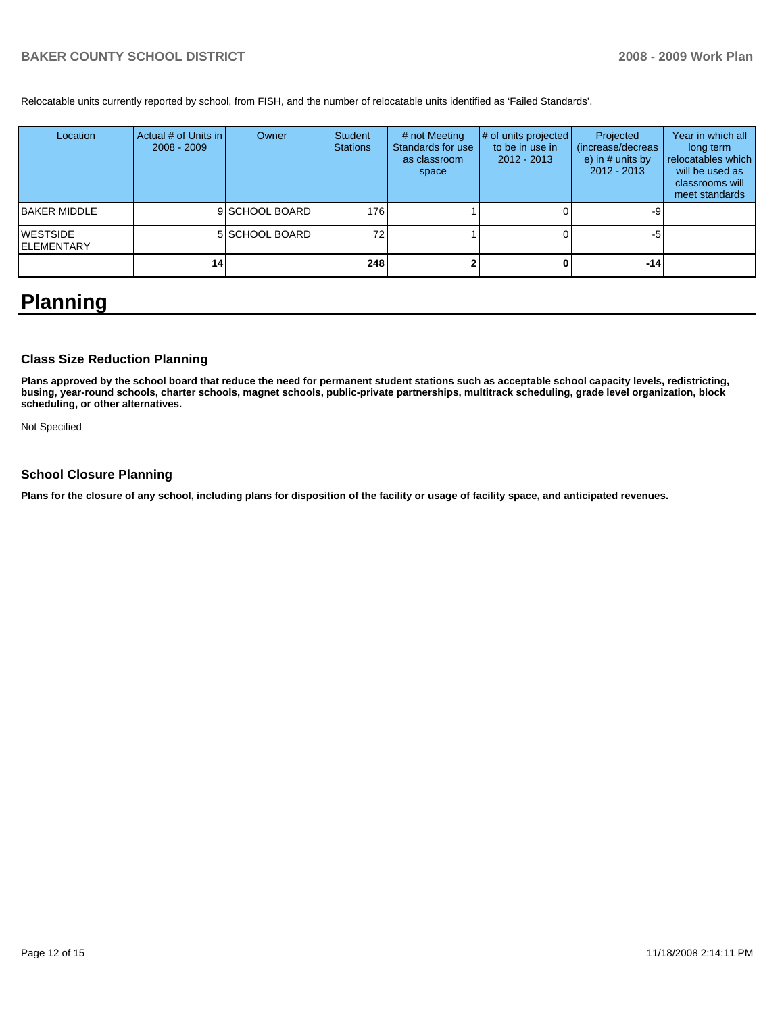Relocatable units currently reported by school, from FISH, and the number of relocatable units identified as 'Failed Standards'.

| Location                       | Actual # of Units in I<br>$2008 - 2009$ | Owner          | Student<br><b>Stations</b> | # not Meeting<br>Standards for use<br>as classroom<br>space | # of units projected<br>to be in use in<br>$2012 - 2013$ | Projected<br>(increase/decreas)<br>e) in $#$ units by<br>$2012 - 2013$ | Year in which all<br>long term<br>relocatables which<br>will be used as<br>classrooms will<br>meet standards |
|--------------------------------|-----------------------------------------|----------------|----------------------------|-------------------------------------------------------------|----------------------------------------------------------|------------------------------------------------------------------------|--------------------------------------------------------------------------------------------------------------|
| IBAKER MIDDLE                  |                                         | 9 SCHOOL BOARD | 176                        |                                                             |                                                          |                                                                        |                                                                                                              |
| <b>WESTSIDE</b><br>IELEMENTARY |                                         | 5 SCHOOL BOARD | 72                         |                                                             |                                                          | -5                                                                     |                                                                                                              |
|                                | 14 <sup>1</sup>                         |                | 248                        |                                                             |                                                          | $-14$                                                                  |                                                                                                              |

# **Planning**

## **Class Size Reduction Planning**

**Plans approved by the school board that reduce the need for permanent student stations such as acceptable school capacity levels, redistricting, busing, year-round schools, charter schools, magnet schools, public-private partnerships, multitrack scheduling, grade level organization, block scheduling, or other alternatives.** 

Not Specified

## **School Closure Planning**

**Plans for the closure of any school, including plans for disposition of the facility or usage of facility space, and anticipated revenues.**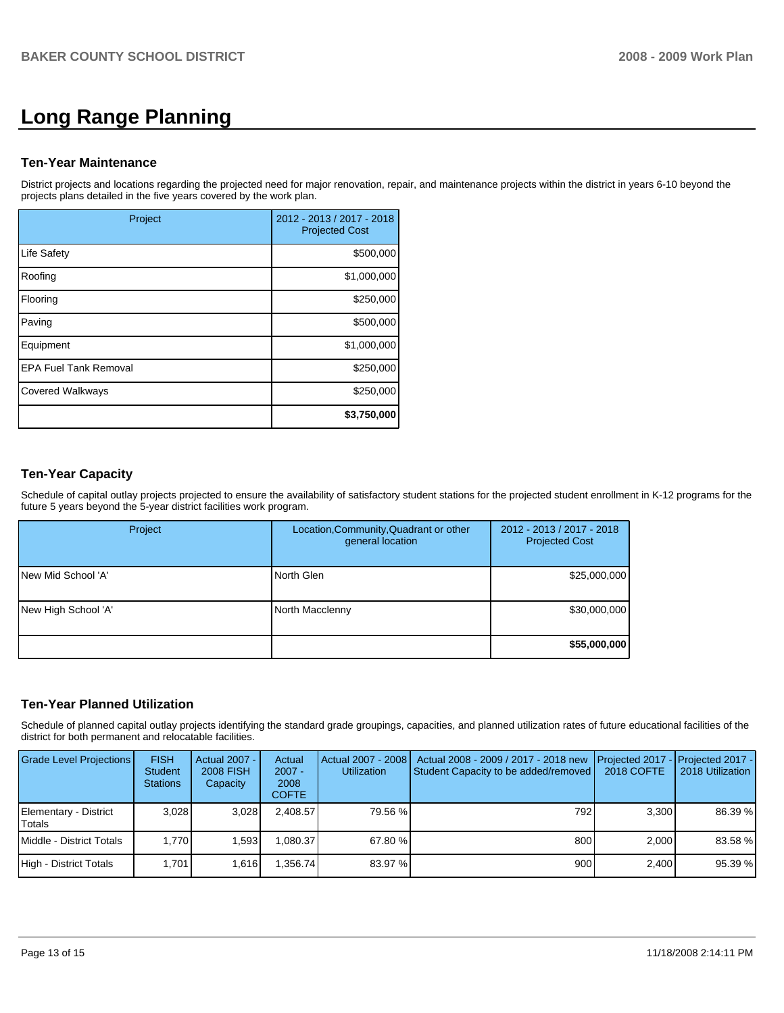# **Long Range Planning**

## **Ten-Year Maintenance**

District projects and locations regarding the projected need for major renovation, repair, and maintenance projects within the district in years 6-10 beyond the projects plans detailed in the five years covered by the work plan.

| Project                      | 2012 - 2013 / 2017 - 2018<br><b>Projected Cost</b> |
|------------------------------|----------------------------------------------------|
| <b>Life Safety</b>           | \$500,000                                          |
| Roofing                      | \$1,000,000                                        |
| Flooring                     | \$250,000                                          |
| Paving                       | \$500,000                                          |
| Equipment                    | \$1,000,000                                        |
| <b>EPA Fuel Tank Removal</b> | \$250,000                                          |
| <b>Covered Walkways</b>      | \$250,000                                          |
|                              | \$3,750,000                                        |

# **Ten-Year Capacity**

Schedule of capital outlay projects projected to ensure the availability of satisfactory student stations for the projected student enrollment in K-12 programs for the future 5 years beyond the 5-year district facilities work program.

| Project             | Location, Community, Quadrant or other<br>general location | 2012 - 2013 / 2017 - 2018<br><b>Projected Cost</b> |
|---------------------|------------------------------------------------------------|----------------------------------------------------|
| New Mid School 'A'  | North Glen                                                 | \$25,000,000                                       |
| New High School 'A' | North Macclenny                                            | \$30,000,000                                       |
|                     |                                                            | \$55,000,000                                       |

# **Ten-Year Planned Utilization**

Schedule of planned capital outlay projects identifying the standard grade groupings, capacities, and planned utilization rates of future educational facilities of the district for both permanent and relocatable facilities.

| <b>Grade Level Projections</b>   | <b>FISH</b><br><b>Student</b><br><b>Stations</b> | Actual 2007 -<br><b>2008 FISH</b><br>Capacity | Actual<br>$2007 -$<br>2008<br><b>COFTE</b> | Actual 2007 - 2008<br><b>Utilization</b> | Actual 2008 - 2009 / 2017 - 2018 new<br>Student Capacity to be added/removed | <b>I</b> Projected 2017 - Projected 2017 -<br>2018 COFTE | 2018 Utilization |
|----------------------------------|--------------------------------------------------|-----------------------------------------------|--------------------------------------------|------------------------------------------|------------------------------------------------------------------------------|----------------------------------------------------------|------------------|
| Elementary - District<br>ITotals | 3.028                                            | 3.028                                         | 2.408.57                                   | 79.56 %                                  | 792                                                                          | 3.300                                                    | 86.39 %          |
| Middle - District Totals         | 1.770                                            | 1.593                                         | .080.37                                    | 67.80 %                                  | 800                                                                          | 2.000                                                    | 83.58 %          |
| High - District Totals           | 1.701                                            | 1.616                                         | .356.74                                    | 83.97 %                                  | 900                                                                          | 2.400                                                    | 95.39 %          |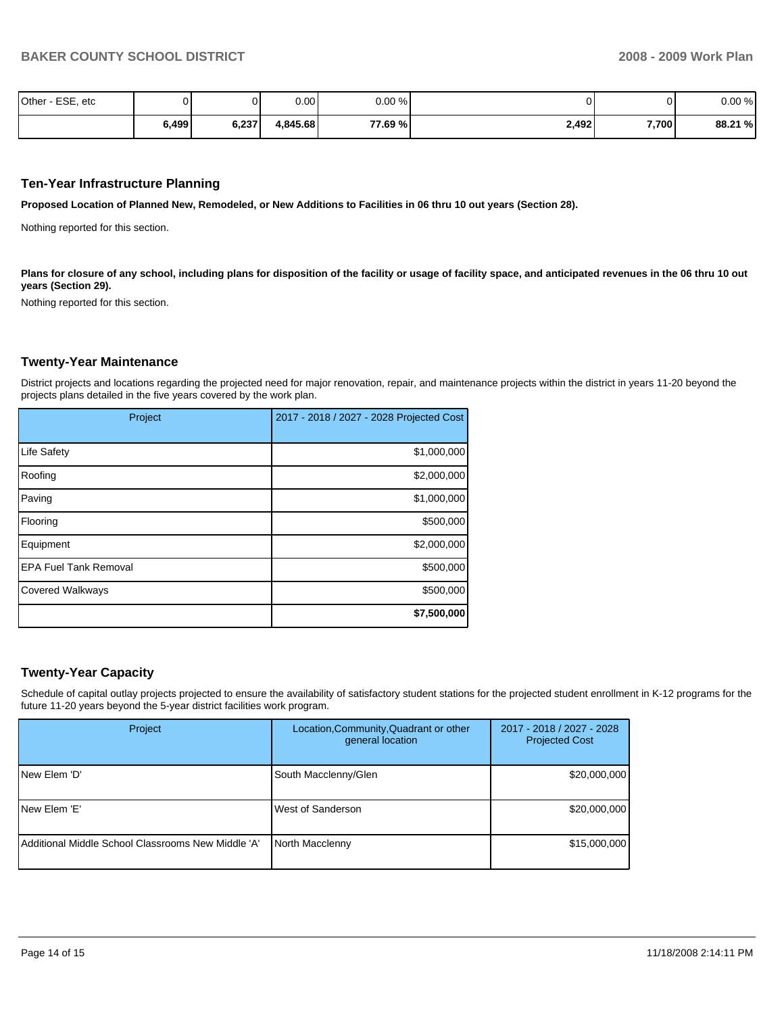| Other - ESE, etc |       |       | 0.00     | $0.00 \%$ |       | 01    | 0.00%   |
|------------------|-------|-------|----------|-----------|-------|-------|---------|
|                  | 6,499 | 6,237 | 4,845.68 | 77.69 %   | 2,492 | 7,700 | 88.21 % |

## **Ten-Year Infrastructure Planning**

**Proposed Location of Planned New, Remodeled, or New Additions to Facilities in 06 thru 10 out years (Section 28).** 

Nothing reported for this section.

Plans for closure of any school, including plans for disposition of the facility or usage of facility space, and anticipated revenues in the 06 thru 10 out **years (Section 29).** 

Nothing reported for this section.

#### **Twenty-Year Maintenance**

District projects and locations regarding the projected need for major renovation, repair, and maintenance projects within the district in years 11-20 beyond the projects plans detailed in the five years covered by the work plan.

| Project                      | 2017 - 2018 / 2027 - 2028 Projected Cost |
|------------------------------|------------------------------------------|
| Life Safety                  | \$1,000,000                              |
| Roofing                      | \$2,000,000                              |
| Paving                       | \$1,000,000                              |
| Flooring                     | \$500,000                                |
| Equipment                    | \$2,000,000                              |
| <b>EPA Fuel Tank Removal</b> | \$500,000                                |
| <b>Covered Walkways</b>      | \$500,000                                |
|                              | \$7,500,000                              |

## **Twenty-Year Capacity**

Schedule of capital outlay projects projected to ensure the availability of satisfactory student stations for the projected student enrollment in K-12 programs for the future 11-20 years beyond the 5-year district facilities work program.

| Project                                              | Location, Community, Quadrant or other<br>general location | 2017 - 2018 / 2027 - 2028<br><b>Projected Cost</b> |
|------------------------------------------------------|------------------------------------------------------------|----------------------------------------------------|
| INew Elem 'D'                                        | South Macclenny/Glen                                       | \$20,000,000                                       |
| <b>INew Elem 'E'</b>                                 | West of Sanderson                                          | \$20,000,000                                       |
| l Additional Middle School Classrooms New Middle 'A' | North Macclenny                                            | \$15,000,000                                       |